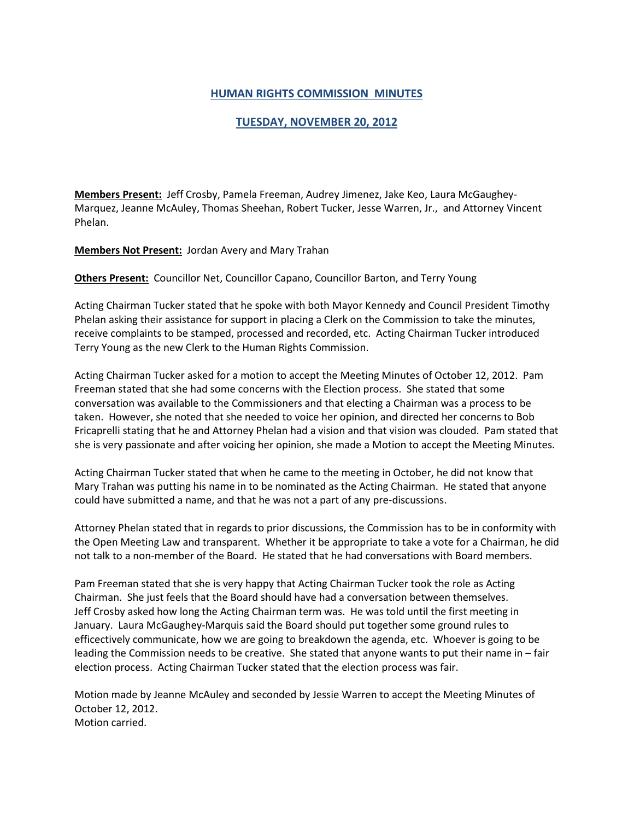## **HUMAN RIGHTS COMMISSION MINUTES**

## **TUESDAY, NOVEMBER 20, 2012**

**Members Present:** Jeff Crosby, Pamela Freeman, Audrey Jimenez, Jake Keo, Laura McGaughey-Marquez, Jeanne McAuley, Thomas Sheehan, Robert Tucker, Jesse Warren, Jr., and Attorney Vincent Phelan.

**Members Not Present:** Jordan Avery and Mary Trahan

**Others Present:** Councillor Net, Councillor Capano, Councillor Barton, and Terry Young

Acting Chairman Tucker stated that he spoke with both Mayor Kennedy and Council President Timothy Phelan asking their assistance for support in placing a Clerk on the Commission to take the minutes, receive complaints to be stamped, processed and recorded, etc. Acting Chairman Tucker introduced Terry Young as the new Clerk to the Human Rights Commission.

Acting Chairman Tucker asked for a motion to accept the Meeting Minutes of October 12, 2012. Pam Freeman stated that she had some concerns with the Election process. She stated that some conversation was available to the Commissioners and that electing a Chairman was a process to be taken. However, she noted that she needed to voice her opinion, and directed her concerns to Bob Fricaprelli stating that he and Attorney Phelan had a vision and that vision was clouded. Pam stated that she is very passionate and after voicing her opinion, she made a Motion to accept the Meeting Minutes.

Acting Chairman Tucker stated that when he came to the meeting in October, he did not know that Mary Trahan was putting his name in to be nominated as the Acting Chairman. He stated that anyone could have submitted a name, and that he was not a part of any pre-discussions.

Attorney Phelan stated that in regards to prior discussions, the Commission has to be in conformity with the Open Meeting Law and transparent. Whether it be appropriate to take a vote for a Chairman, he did not talk to a non-member of the Board. He stated that he had conversations with Board members.

Pam Freeman stated that she is very happy that Acting Chairman Tucker took the role as Acting Chairman. She just feels that the Board should have had a conversation between themselves. Jeff Crosby asked how long the Acting Chairman term was. He was told until the first meeting in January. Laura McGaughey-Marquis said the Board should put together some ground rules to efficectively communicate, how we are going to breakdown the agenda, etc. Whoever is going to be leading the Commission needs to be creative. She stated that anyone wants to put their name in – fair election process. Acting Chairman Tucker stated that the election process was fair.

Motion made by Jeanne McAuley and seconded by Jessie Warren to accept the Meeting Minutes of October 12, 2012. Motion carried.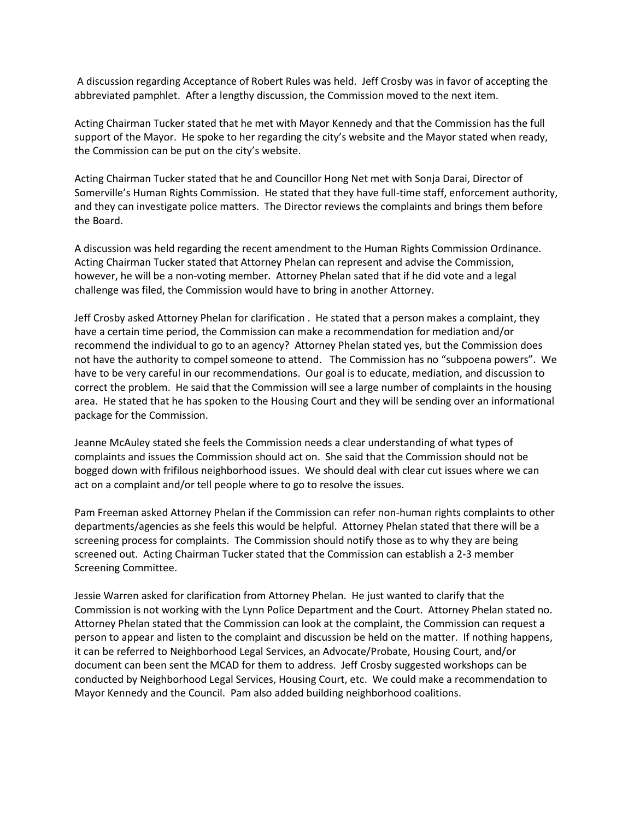A discussion regarding Acceptance of Robert Rules was held. Jeff Crosby was in favor of accepting the abbreviated pamphlet. After a lengthy discussion, the Commission moved to the next item.

Acting Chairman Tucker stated that he met with Mayor Kennedy and that the Commission has the full support of the Mayor. He spoke to her regarding the city's website and the Mayor stated when ready, the Commission can be put on the city's website.

Acting Chairman Tucker stated that he and Councillor Hong Net met with Sonja Darai, Director of Somerville's Human Rights Commission. He stated that they have full-time staff, enforcement authority, and they can investigate police matters. The Director reviews the complaints and brings them before the Board.

A discussion was held regarding the recent amendment to the Human Rights Commission Ordinance. Acting Chairman Tucker stated that Attorney Phelan can represent and advise the Commission, however, he will be a non-voting member. Attorney Phelan sated that if he did vote and a legal challenge was filed, the Commission would have to bring in another Attorney.

Jeff Crosby asked Attorney Phelan for clarification . He stated that a person makes a complaint, they have a certain time period, the Commission can make a recommendation for mediation and/or recommend the individual to go to an agency? Attorney Phelan stated yes, but the Commission does not have the authority to compel someone to attend. The Commission has no "subpoena powers". We have to be very careful in our recommendations. Our goal is to educate, mediation, and discussion to correct the problem. He said that the Commission will see a large number of complaints in the housing area. He stated that he has spoken to the Housing Court and they will be sending over an informational package for the Commission.

Jeanne McAuley stated she feels the Commission needs a clear understanding of what types of complaints and issues the Commission should act on. She said that the Commission should not be bogged down with frifilous neighborhood issues. We should deal with clear cut issues where we can act on a complaint and/or tell people where to go to resolve the issues.

Pam Freeman asked Attorney Phelan if the Commission can refer non-human rights complaints to other departments/agencies as she feels this would be helpful. Attorney Phelan stated that there will be a screening process for complaints. The Commission should notify those as to why they are being screened out. Acting Chairman Tucker stated that the Commission can establish a 2-3 member Screening Committee.

Jessie Warren asked for clarification from Attorney Phelan. He just wanted to clarify that the Commission is not working with the Lynn Police Department and the Court. Attorney Phelan stated no. Attorney Phelan stated that the Commission can look at the complaint, the Commission can request a person to appear and listen to the complaint and discussion be held on the matter. If nothing happens, it can be referred to Neighborhood Legal Services, an Advocate/Probate, Housing Court, and/or document can been sent the MCAD for them to address. Jeff Crosby suggested workshops can be conducted by Neighborhood Legal Services, Housing Court, etc. We could make a recommendation to Mayor Kennedy and the Council. Pam also added building neighborhood coalitions.